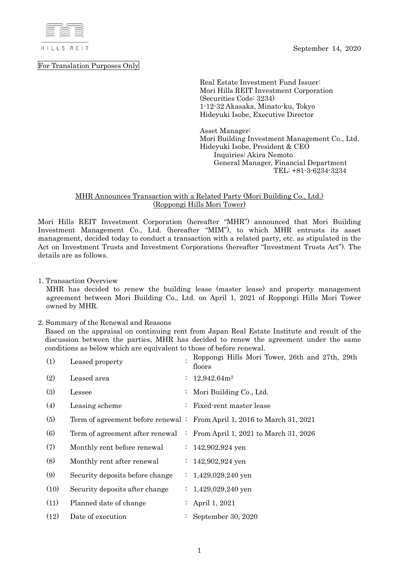September 14, 2020



For Translation Purposes Only

Real Estate Investment Fund Issuer: Mori Hills REIT Investment Corporation (Securities Code: 3234) 1-12-32 Akasaka, Minato-ku, Tokyo Hideyuki Isobe, Executive Director

Asset Manager: Mori Building Investment Management Co., Ltd. Hideyuki Isobe, President & CEO Inquiries: Akira Nemoto General Manager, Financial Department TEL: +81-3-6234-3234

## MHR Announces Transaction with a Related Party (Mori Building Co., Ltd.) (Roppongi Hills Mori Tower)

Mori Hills REIT Investment Corporation (hereafter "MHR") announced that Mori Building Investment Management Co., Ltd. (hereafter "MIM"), to which MHR entrusts its asset management, decided today to conduct a transaction with a related party, etc. as stipulated in the Act on Investment Trusts and Investment Corporations (hereafter "Investment Trusts Act"). The details are as follows.

1. Transaction Overview

MHR has decided to renew the building lease (master lease) and property management agreement between Mori Building Co., Ltd. on April 1, 2021 of Roppongi Hills Mori Tower owned by MHR.

### 2. Summary of the Renewal and Reasons

Based on the appraisal on continuing rent from Japan Real Estate Institute and result of the discussion between the parties, MHR has decided to renew the agreement under the same conditions as below which are equivalent to those of before renewal.

| (1)  | Leased property                 | Roppongi Hills Mori Tower, 26th and 27th, 29th<br>floors                |
|------|---------------------------------|-------------------------------------------------------------------------|
| (2)  | Leased area                     | $: 12,942.64m^2$                                                        |
| (3)  | Lessee                          | : Mori Building Co., Ltd.                                               |
| (4)  | Leasing scheme                  | : Fixed-rent master lease                                               |
| (5)  |                                 | Term of agreement before renewal : From April 1, 2016 to March 31, 2021 |
| (6)  |                                 | Term of agreement after renewal : From April 1, 2021 to March 31, 2026  |
| (7)  | Monthly rent before renewal     | : $142,902,924$ yen                                                     |
| (8)  | Monthly rent after renewal      | : $142,902,924$ yen                                                     |
| (9)  | Security deposits before change | $: 1,429,029,240$ yen                                                   |
| (10) | Security deposits after change  | : $1,429,029,240$ yen                                                   |
| (11) | Planned date of change          | : April 1, 2021                                                         |
| (12) | Date of execution               | September 30, 2020                                                      |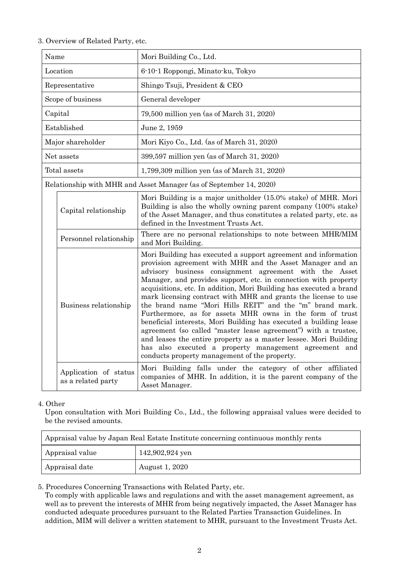# 3. Overview of Related Party, etc.

| Name                                                               |                                             | Mori Building Co., Ltd.                                                                                                                                                                                                                                                                                                                                                                                                                                                                                                                                                                                                                                                                                                                                                                                                                       |  |
|--------------------------------------------------------------------|---------------------------------------------|-----------------------------------------------------------------------------------------------------------------------------------------------------------------------------------------------------------------------------------------------------------------------------------------------------------------------------------------------------------------------------------------------------------------------------------------------------------------------------------------------------------------------------------------------------------------------------------------------------------------------------------------------------------------------------------------------------------------------------------------------------------------------------------------------------------------------------------------------|--|
| Location                                                           |                                             | 6-10-1 Roppongi, Minato-ku, Tokyo                                                                                                                                                                                                                                                                                                                                                                                                                                                                                                                                                                                                                                                                                                                                                                                                             |  |
| Representative                                                     |                                             | Shingo Tsuji, President & CEO                                                                                                                                                                                                                                                                                                                                                                                                                                                                                                                                                                                                                                                                                                                                                                                                                 |  |
| Scope of business                                                  |                                             | General developer                                                                                                                                                                                                                                                                                                                                                                                                                                                                                                                                                                                                                                                                                                                                                                                                                             |  |
| Capital                                                            |                                             | 79,500 million yen (as of March 31, 2020)                                                                                                                                                                                                                                                                                                                                                                                                                                                                                                                                                                                                                                                                                                                                                                                                     |  |
| Established                                                        |                                             | June 2, 1959                                                                                                                                                                                                                                                                                                                                                                                                                                                                                                                                                                                                                                                                                                                                                                                                                                  |  |
| Major shareholder                                                  |                                             | Mori Kiyo Co., Ltd. (as of March 31, 2020)                                                                                                                                                                                                                                                                                                                                                                                                                                                                                                                                                                                                                                                                                                                                                                                                    |  |
| Net assets                                                         |                                             | 399,597 million yen (as of March 31, 2020)                                                                                                                                                                                                                                                                                                                                                                                                                                                                                                                                                                                                                                                                                                                                                                                                    |  |
| Total assets                                                       |                                             | 1,799,309 million yen (as of March 31, 2020)                                                                                                                                                                                                                                                                                                                                                                                                                                                                                                                                                                                                                                                                                                                                                                                                  |  |
| Relationship with MHR and Asset Manager (as of September 14, 2020) |                                             |                                                                                                                                                                                                                                                                                                                                                                                                                                                                                                                                                                                                                                                                                                                                                                                                                                               |  |
|                                                                    | Capital relationship                        | Mori Building is a major unitholder (15.0% stake) of MHR. Mori<br>Building is also the wholly owning parent company (100% stake)<br>of the Asset Manager, and thus constitutes a related party, etc. as<br>defined in the Investment Trusts Act.                                                                                                                                                                                                                                                                                                                                                                                                                                                                                                                                                                                              |  |
|                                                                    | Personnel relationship                      | There are no personal relationships to note between MHR/MIM<br>and Mori Building.                                                                                                                                                                                                                                                                                                                                                                                                                                                                                                                                                                                                                                                                                                                                                             |  |
|                                                                    | Business relationship                       | Mori Building has executed a support agreement and information<br>provision agreement with MHR and the Asset Manager and an<br>advisory business consignment agreement with the Asset<br>Manager, and provides support, etc. in connection with property<br>acquisitions, etc. In addition, Mori Building has executed a brand<br>mark licensing contract with MHR and grants the license to use<br>the brand name "Mori Hills REIT" and the "m" brand mark.<br>Furthermore, as for assets MHR owns in the form of trust<br>beneficial interests, Mori Building has executed a building lease<br>agreement (so called "master lease agreement") with a trustee,<br>and leases the entire property as a master lessee. Mori Building<br>has also executed a property management agreement and<br>conducts property management of the property. |  |
|                                                                    | Application of status<br>as a related party | Mori Building falls under the category of other affiliated<br>companies of MHR. In addition, it is the parent company of the<br>Asset Manager.                                                                                                                                                                                                                                                                                                                                                                                                                                                                                                                                                                                                                                                                                                |  |

### 4. Other

Upon consultation with Mori Building Co., Ltd., the following appraisal values were decided to be the revised amounts.

| Appraisal value by Japan Real Estate Institute concerning continuous monthly rents |                 |  |  |
|------------------------------------------------------------------------------------|-----------------|--|--|
| Appraisal value                                                                    | 142,902,924 yen |  |  |
| Appraisal date                                                                     | August 1, 2020  |  |  |

5. Procedures Concerning Transactions with Related Party, etc.

To comply with applicable laws and regulations and with the asset management agreement, as well as to prevent the interests of MHR from being negatively impacted, the Asset Manager has conducted adequate procedures pursuant to the Related Parties Transaction Guidelines. In addition, MIM will deliver a written statement to MHR, pursuant to the Investment Trusts Act.